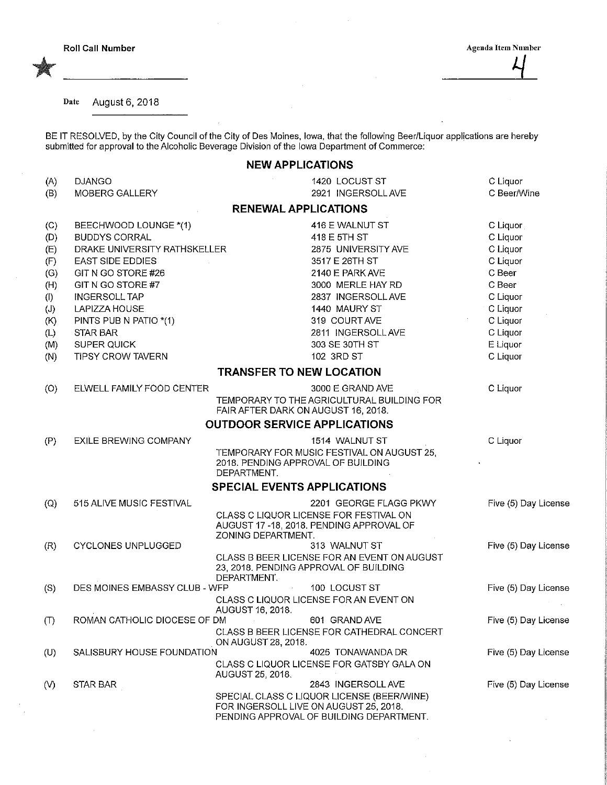Date August 6, 2018

BE IT RESOLVED, by the City Council of the City of Des Moines, Iowa, that the following Beer/Liquor applications are hereb submitted for approval to the Alcoholic Beverage Division of the Iowa Department of Commerce:

|                                                                           |                                                                                                                                                                                                                                                   | <b>NEW APPLICATIONS</b>                                                                                                                                                                                          |                                                                                                                              |
|---------------------------------------------------------------------------|---------------------------------------------------------------------------------------------------------------------------------------------------------------------------------------------------------------------------------------------------|------------------------------------------------------------------------------------------------------------------------------------------------------------------------------------------------------------------|------------------------------------------------------------------------------------------------------------------------------|
| (A)<br>(B)                                                                | <b>DJANGO</b><br>MOBERG GALLERY                                                                                                                                                                                                                   | 1420 LOCUST ST<br>2921 INGERSOLL AVE                                                                                                                                                                             | C Liquor<br>C Beer/Wine                                                                                                      |
|                                                                           |                                                                                                                                                                                                                                                   | <b>RENEWAL APPLICATIONS</b>                                                                                                                                                                                      |                                                                                                                              |
| (C)<br>(D)<br>(E)<br>(F)<br>(G)<br>(H)<br>(1)<br>(J)<br>(K)<br>(L)<br>(M) | BEECHWOOD LOUNGE *(1)<br><b>BUDDYS CORRAL</b><br>DRAKE UNIVERSITY RATHSKELLER<br><b>EAST SIDE EDDIES</b><br>GIT N GO STORE #26<br>GIT N GO STORE #7<br><b>INGERSOLL TAP</b><br>LAPIZZA HOUSE<br>PINTS PUB N PATIO *(1)<br>STAR BAR<br>SUPER QUICK | 416 E WALNUT ST<br>418 E 5TH ST<br>2875 UNIVERSITY AVE<br>3517 E 26TH ST<br>2140 E PARK AVE<br>3000 MERLE HAY RD<br>2837 INGERSOLL AVE<br>1440 MAURY ST<br>319 COURT AVE<br>2811 INGERSOLL AVE<br>303 SE 30TH ST | C Liquor<br>C Liquor<br>C Liquor<br>C Liquor<br>C Beer<br>C Beer<br>C Liquor<br>C Liquor<br>C Liquor<br>C Liquor<br>E Liquor |
| (N)                                                                       | TIPSY CROW TAVERN                                                                                                                                                                                                                                 | 102 3RD ST                                                                                                                                                                                                       | C Liquor                                                                                                                     |
|                                                                           |                                                                                                                                                                                                                                                   | <b>TRANSFER TO NEW LOCATION</b>                                                                                                                                                                                  |                                                                                                                              |
| (O)                                                                       | ELWELL FAMILY FOOD CENTER                                                                                                                                                                                                                         | 3000 E GRAND AVE<br>TEMPORARY TO THE AGRICULTURAL BUILDING FOR<br>FAIR AFTER DARK ON AUGUST 16, 2018.<br><b>OUTDOOR SERVICE APPLICATIONS</b>                                                                     | C Liquor                                                                                                                     |
| (P)                                                                       | EXILE BREWING COMPANY                                                                                                                                                                                                                             | 1514 WALNUT ST<br>TEMPORARY FOR MUSIC FESTIVAL ON AUGUST 25,<br>2018. PENDING APPROVAL OF BUILDING<br>DEPARTMENT.                                                                                                | C Liquor                                                                                                                     |
|                                                                           |                                                                                                                                                                                                                                                   | SPECIAL EVENTS APPLICATIONS                                                                                                                                                                                      |                                                                                                                              |
| $\left( 0\right)$                                                         | 515 ALIVE MUSIC FESTIVAL                                                                                                                                                                                                                          | 2201 GEORGE FLAGG PKWY<br>CLASS C LIQUOR LICENSE FOR FESTIVAL ON<br>AUGUST 17 - 18, 2018. PENDING APPROVAL OF<br>ZONING DEPARTMENT.                                                                              | Five (5) Day License                                                                                                         |
| (R)                                                                       | <b>CYCLONES UNPLUGGED</b>                                                                                                                                                                                                                         | 313 WALNUT ST<br>CLASS B BEER LICENSE FOR AN EVENT ON AUGUST<br>23, 2018. PENDING APPROVAL OF BUILDING<br>DEPARTMENT.                                                                                            | Five (5) Day License                                                                                                         |
| (S)                                                                       | DES MOINES EMBASSY CLUB - WFP                                                                                                                                                                                                                     | 100 LOCUST ST<br>CLASS C LIQUOR LICENSE FOR AN EVENT ON<br>AUGUST 16, 2018.                                                                                                                                      | Five (5) Day License                                                                                                         |
| (                                                                         | ROMAN CATHOLIC DIOCESE OF DM                                                                                                                                                                                                                      | 601 GRAND AVE<br>CLASS B BEER LICENSE FOR CATHEDRAL CONCERT<br>ON AUGUST 28, 2018.                                                                                                                               | Five (5) Day License                                                                                                         |
| (U)                                                                       | SALISBURY HOUSE FOUNDATION                                                                                                                                                                                                                        | 4025 TONAWANDA DR<br>CLASS C LIQUOR LICENSE FOR GATSBY GALA ON<br>AUGUST 25, 2018.                                                                                                                               | Five (5) Day License                                                                                                         |
| $\mathcal{N}$                                                             | STAR BAR                                                                                                                                                                                                                                          | 2843 INGERSOLL AVE<br>SPECIAL CLASS C LIQUOR LICENSE (BEER/WINE)<br>FOR INGERSOLL LIVE ON AUGUST 25, 2018.<br>PENDING APPROVAL OF BUILDING DEPARTMENT.                                                           | Five (5) Day License                                                                                                         |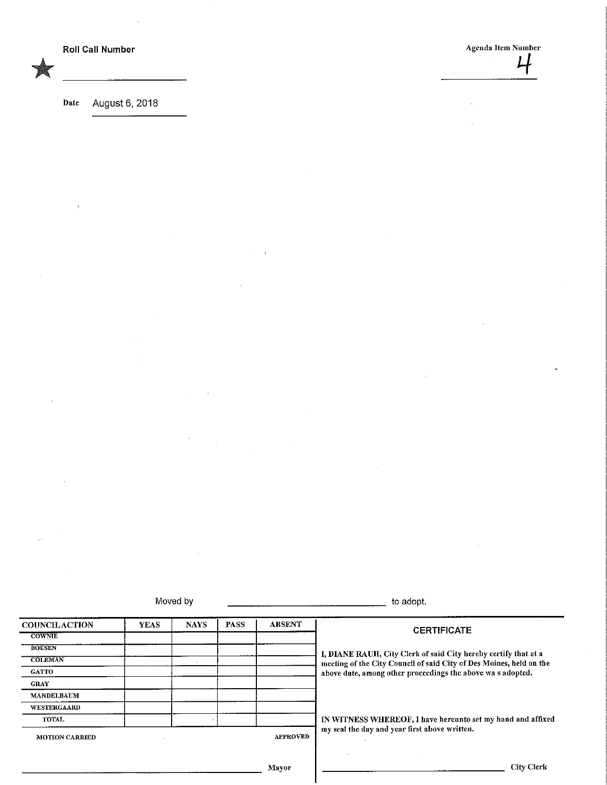Date August 6, 2018

Moved by the contract of the contract of the contract of the contract of the adopt.

| <b>COUNCILACTION</b>  | <b>YEAS</b>     | <b>NAYS</b> | PASS | <b>ABSENT</b>                                                       | <b>CERTIFICATE</b>                                              |  |
|-----------------------|-----------------|-------------|------|---------------------------------------------------------------------|-----------------------------------------------------------------|--|
| <b>COWNIE</b>         |                 |             |      |                                                                     |                                                                 |  |
| <b>BOESEN</b>         |                 |             |      |                                                                     | I, DIANE RAUH, City Clerk of said City hereby certify that at a |  |
| <b>COLEMAN</b>        |                 |             |      | meeting of the City Council of said City of Des Moines, held on the |                                                                 |  |
| <b>GATTO</b>          |                 |             |      |                                                                     | above date, among other proceedings the above was adopted.      |  |
| <b>GRAY</b>           |                 |             |      |                                                                     |                                                                 |  |
| <b>MANDELBAUM</b>     |                 |             |      |                                                                     |                                                                 |  |
| <b>WESTERGAARD</b>    |                 |             |      |                                                                     |                                                                 |  |
| <b>TOTAL</b>          |                 |             |      |                                                                     | IN WITNESS WHEREOF, I have hereunto set my hand and affixed     |  |
| <b>MOTION CARRIED</b> | <b>APPROVED</b> |             |      |                                                                     | my seal the day and year first above written.                   |  |
|                       |                 |             |      | Mayor                                                               | City Clerk                                                      |  |